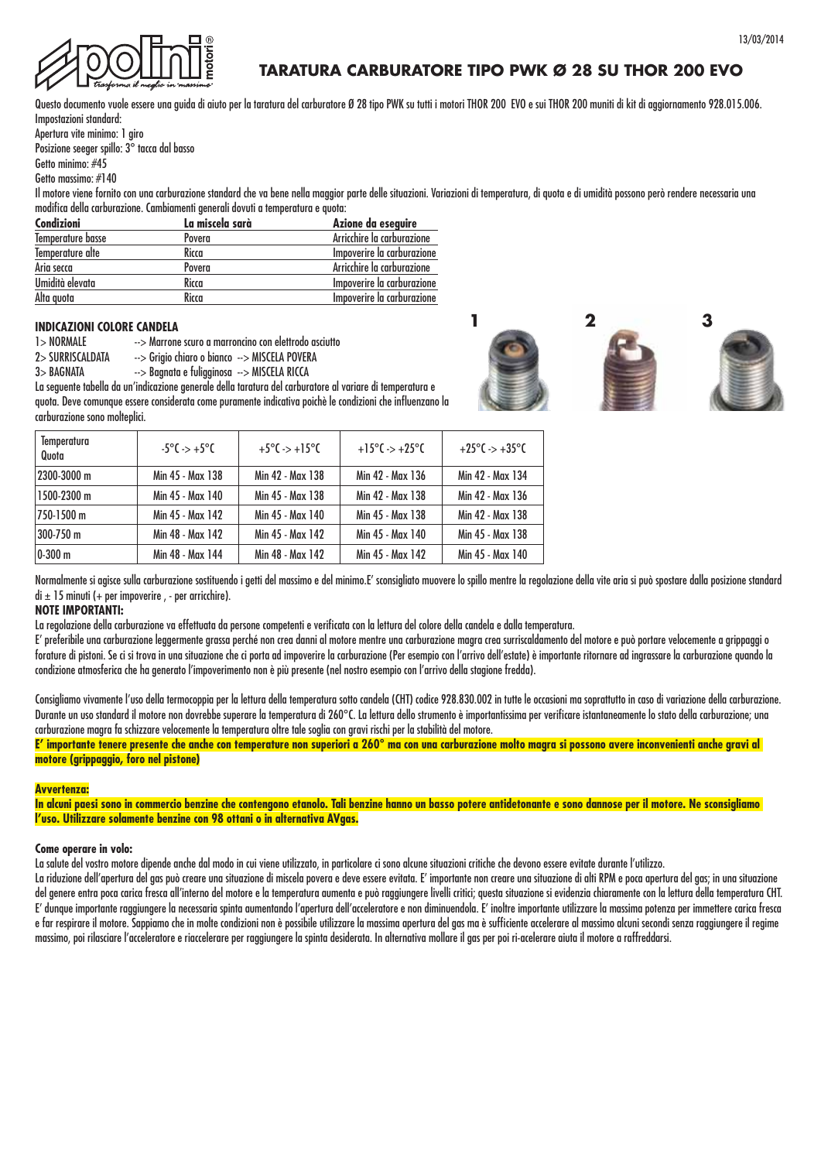



# **TARATURA CARBURATORE TIPO PWK Ø 28 SU THOR 200 EVO**

Questo documento vuole essere una guida di aiuto per la taratura del carburatore Ø 28 tipo PWK su tutti i motori THOR 200 EVO e sui THOR 200 muniti di kit di aggiornamento 928.015.006. Impostazioni standard:

Apertura vite minimo: 1 giro

Posizione seeger spillo: 3° tacca dal basso

Getto minimo: #45

Getto massimo: #140

Il motore viene fornito con una carburazione standard che va bene nella maggior parte delle situazioni. Variazioni di temperatura, di quota e di umidità possono però rendere necessaria una modifica della carburazione. Cambiamenti generali dovuti a temperatura e quota:

| Condizioni        | La miscela sarà | Azione da eseguire         |
|-------------------|-----------------|----------------------------|
| Temperature basse | Povera          | Arricchire la carburazione |
| Temperature alte  | Ricca           | Impoverire la carburazione |
| Aria secca        | Povera          | Arricchire la carburazione |
| Umidità elevata   | Ricca           | Impoverire la carburazione |
| Alta quota        | Ricca           | Impoverire la carburazione |

### **INDICAZIONI COLORE CANDELA**

| <b>1&gt; NORMALE</b> | --> Marrone scuro a marroncino con elettrodo asciutto |
|----------------------|-------------------------------------------------------|

- 2> SURRISCALDATA --> Grigio chiaro o bianco --> MISCELA POVERA
- 3> BAGNATA --> Bagnata e fuligginosa --> MISCELA RICCA

La seguente tabella da un'indicazione generale della taratura del carburatore al variare di temperatura e quota. Deve comunque essere considerata come puramente indicativa poichè le condizioni che influenzano la carburazione sono molteplici.

| Temperatura<br>Quota | $-5^{\circ}$ C $\rightarrow +5^{\circ}$ C | $+5^{\circ}$ C -> $+15^{\circ}$ C | $+15^{\circ}$ C -> +25 $^{\circ}$ C | $+25^{\circ}$ C -> $+35^{\circ}$ C |
|----------------------|-------------------------------------------|-----------------------------------|-------------------------------------|------------------------------------|
| 2300-3000 m          | Min 45 - Max 138                          | Min 42 - Max 138                  | Min 42 - Max 136                    | Min 42 - Max 134                   |
| 1500-2300 m          | Min 45 - Max 140                          | Min 45 - Max 138                  | Min 42 - Max 138                    | Min 42 - Max 136                   |
| 750-1500 m           | Min 45 - Max 142                          | Min 45 - Max 140                  | Min 45 - Max 138                    | Min 42 - Max 138                   |
| 300-750 m            | Min 48 - Max 142                          | Min 45 - Max 142                  | Min 45 - Max 140                    | Min 45 - Max 138                   |
| 0-300 m              | Min 48 - Max 144                          | Min 48 - Max 142                  | Min 45 - Max 142                    | Min 45 - Max 140                   |

Normalmente si agisce sulla carburazione sostituendo i getti del massimo e del minimo.E' sconsigliato muovere lo spillo mentre la regolazione della vite aria si può spostare dalla posizione standard  $di \pm 15$  minuti (+ per impoverire, - per arricchire).

### **NOTE IMPORTANTI:**

La regolazione della carburazione va effettuata da persone competenti e verificata con la lettura del colore della candela e dalla temperatura.

E' preferibile una carburazione leggermente grassa perché non crea danni al motore mentre una carburazione magra crea surriscaldamento del motore e può portare velocemente a grippaggi o forature di pistoni. Se ci si trova in una situazione che ci porta ad impoverire la carburazione (Per esempio con l'arrivo dell'estate) è importante ritornare ad ingrassare la carburazione quando la condizione atmosferica che ha generato l'impoverimento non è più presente (nel nostro esempio con l'arrivo della stagione fredda).

Consigliamo vivamente l'uso della termocoppia per la lettura della temperatura sotto candela (CHT) codice 928.830.002 in tutte le occasioni ma soprattutto in caso di variazione della carburazione. Durante un uso standard il motore non dovrebbe superare la temperatura di 260°C. La lettura dello strumento è importantissima per verificare istantaneamente lo stato della carburazione; una carburazione magra fa schizzare velocemente la temperatura oltre tale soglia con gravi rischi per la stabilità del motore.

**E' importante tenere presente che anche con temperature non superiori a 260° ma con una carburazione molto magra si possono avere inconvenienti anche gravi al motore (grippaggio, foro nel pistone)**

### **Avvertenza:**

**In alcuni paesi sono in commercio benzine che contengono etanolo. Tali benzine hanno un basso potere antidetonante e sono dannose per il motore. Ne sconsigliamo l'uso. Utilizzare solamente benzine con 98 ottani o in alternativa AVgas.**

### **Come operare in volo:**

La salute del vostro motore dipende anche dal modo in cui viene utilizzato, in particolare ci sono alcune situazioni critiche che devono essere evitate durante l'utilizzo.

La riduzione dell'apertura del gas può creare una situazione di miscela povera e deve essere evitata. E' importante non creare una situazione di alti RPM e poca apertura del gas; in una situazione del genere entra poca carica fresca all'interno del motore e la temperatura aumenta e può raggiungere livelli critici; questa situazione si evidenzia chiaramente con la lettura della temperatura CHT. E' dunque importante raggiungere la necessaria spinta aumentando l'apertura dell'acceleratore e non diminuendola. E' inoltre importante utilizzare la massima potenza per immettere carica fresca e far respirare il motore. Sappiamo che in molte condizioni non è possibile utilizzare la massima apertura del gas ma è sufficiente accelerare al massimo alcuni secondi senza raggiungere il regime massimo, poi rilasciare l'acceleratore e riaccelerare per raggiungere la spinta desiderata. In alternativa mollare il gas per poi ri-acelerare aiuta il motore a raffreddarsi.